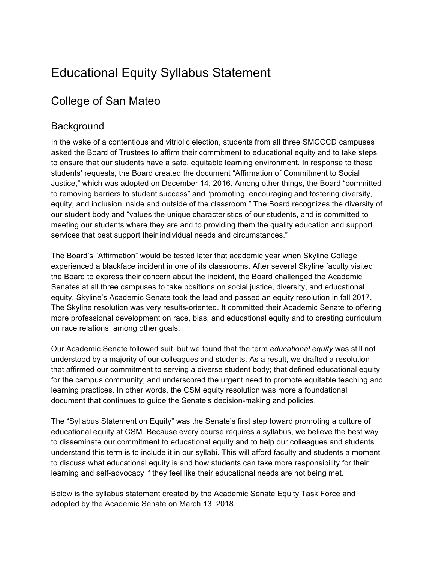# Educational Equity Syllabus Statement

# College of San Mateo

# **Background**

In the wake of a contentious and vitriolic election, students from all three SMCCCD campuses asked the Board of Trustees to affirm their commitment to educational equity and to take steps to ensure that our students have a safe, equitable learning environment. In response to these students' requests, the Board created the document "Affirmation of Commitment to Social Justice," which was adopted on December 14, 2016. Among other things, the Board "committed to removing barriers to student success" and "promoting, encouraging and fostering diversity, equity, and inclusion inside and outside of the classroom." The Board recognizes the diversity of our student body and "values the unique characteristics of our students, and is committed to meeting our students where they are and to providing them the quality education and support services that best support their individual needs and circumstances."

The Board's "Affirmation" would be tested later that academic year when Skyline College experienced a blackface incident in one of its classrooms. After several Skyline faculty visited the Board to express their concern about the incident, the Board challenged the Academic Senates at all three campuses to take positions on social justice, diversity, and educational equity. Skyline's Academic Senate took the lead and passed an equity resolution in fall 2017. The Skyline resolution was very results-oriented. It committed their Academic Senate to offering more professional development on race, bias, and educational equity and to creating curriculum on race relations, among other goals.

Our Academic Senate followed suit, but we found that the term *educational equity* was still not understood by a majority of our colleagues and students. As a result, we drafted a resolution that affirmed our commitment to serving a diverse student body; that defined educational equity for the campus community; and underscored the urgent need to promote equitable teaching and learning practices. In other words, the CSM equity resolution was more a foundational document that continues to guide the Senate's decision-making and policies.

The "Syllabus Statement on Equity" was the Senate's first step toward promoting a culture of educational equity at CSM. Because every course requires a syllabus, we believe the best way to disseminate our commitment to educational equity and to help our colleagues and students understand this term is to include it in our syllabi. This will afford faculty and students a moment to discuss what educational equity is and how students can take more responsibility for their learning and self-advocacy if they feel like their educational needs are not being met.

Below is the syllabus statement created by the Academic Senate Equity Task Force and adopted by the Academic Senate on March 13, 2018.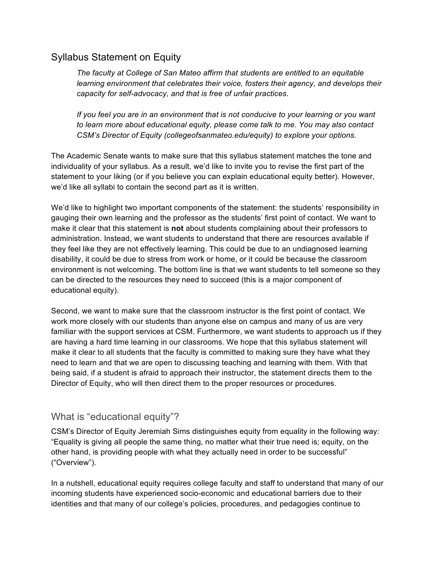# Syllabus Statement on Equity

*The faculty at College of San Mateo affirm that students are entitled to an equitable learning environment that celebrates their voice, fosters their agency, and develops their capacity for self-advocacy, and that is free of unfair practices.*

*If you feel you are in an environment that is not conducive to your learning or you want to learn more about educational equity, please come talk to me. You may also contact CSM's Director of Equity (collegeofsanmateo.edu/equity) to explore your options.* 

The Academic Senate wants to make sure that this syllabus statement matches the tone and individuality of your syllabus. As a result, we'd like to invite you to revise the first part of the statement to your liking (or if you believe you can explain educational equity better). However, we'd like all syllabi to contain the second part as it is written.

We'd like to highlight two important components of the statement: the students' responsibility in gauging their own learning and the professor as the students' first point of contact. We want to make it clear that this statement is **not** about students complaining about their professors to administration. Instead, we want students to understand that there are resources available if they feel like they are not effectively learning. This could be due to an undiagnosed learning disability, it could be due to stress from work or home, or it could be because the classroom environment is not welcoming. The bottom line is that we want students to tell someone so they can be directed to the resources they need to succeed (this is a major component of educational equity).

Second, we want to make sure that the classroom instructor is the first point of contact. We work more closely with our students than anyone else on campus and many of us are very familiar with the support services at CSM. Furthermore, we want students to approach us if they are having a hard time learning in our classrooms. We hope that this syllabus statement will make it clear to all students that the faculty is committed to making sure they have what they need to learn and that we are open to discussing teaching and learning with them. With that being said, if a student is afraid to approach their instructor, the statement directs them to the Director of Equity, who will then direct them to the proper resources or procedures.

#### What is "educational equity"?

CSM's Director of Equity Jeremiah Sims distinguishes equity from equality in the following way: "Equality is giving all people the same thing, no matter what their true need is; equity, on the other hand, is providing people with what they actually need in order to be successful" ("Overview").

In a nutshell, educational equity requires college faculty and staff to understand that many of our incoming students have experienced socio-economic and educational barriers due to their identities and that many of our college's policies, procedures, and pedagogies continue to